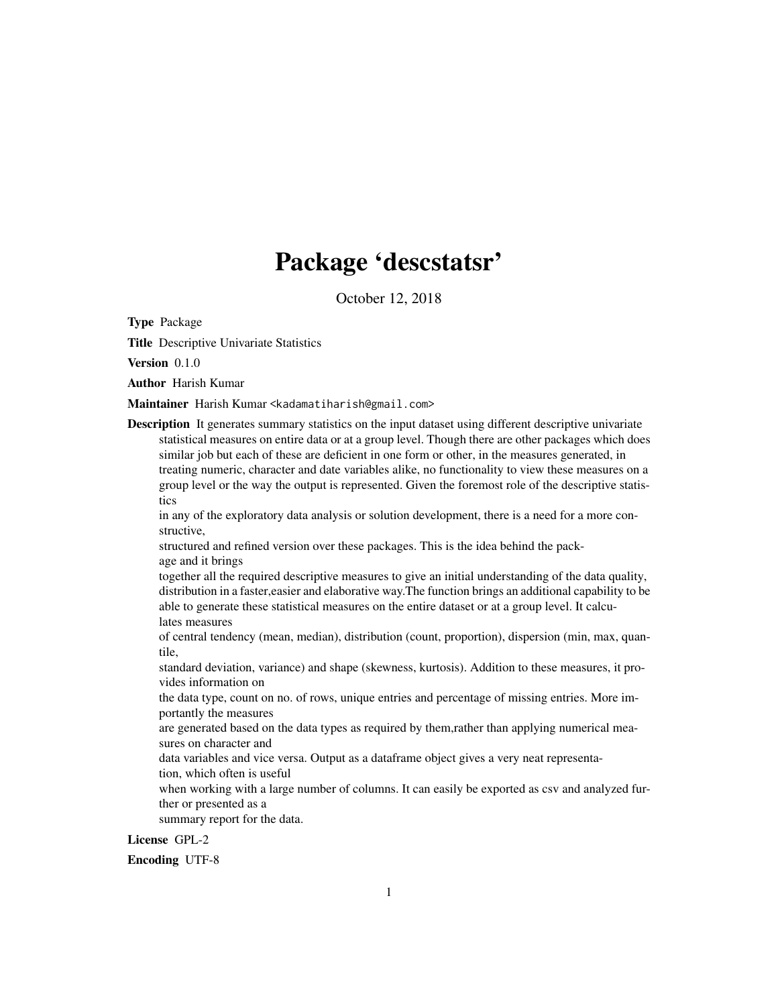## Package 'descstatsr'

October 12, 2018

Type Package

Title Descriptive Univariate Statistics

Version 0.1.0

Author Harish Kumar

Maintainer Harish Kumar <kadamatiharish@gmail.com>

Description It generates summary statistics on the input dataset using different descriptive univariate statistical measures on entire data or at a group level. Though there are other packages which does similar job but each of these are deficient in one form or other, in the measures generated, in treating numeric, character and date variables alike, no functionality to view these measures on a group level or the way the output is represented. Given the foremost role of the descriptive statistics

in any of the exploratory data analysis or solution development, there is a need for a more constructive,

structured and refined version over these packages. This is the idea behind the package and it brings

together all the required descriptive measures to give an initial understanding of the data quality, distribution in a faster,easier and elaborative way.The function brings an additional capability to be able to generate these statistical measures on the entire dataset or at a group level. It calculates measures

of central tendency (mean, median), distribution (count, proportion), dispersion (min, max, quantile,

standard deviation, variance) and shape (skewness, kurtosis). Addition to these measures, it provides information on

the data type, count on no. of rows, unique entries and percentage of missing entries. More importantly the measures

are generated based on the data types as required by them,rather than applying numerical measures on character and

data variables and vice versa. Output as a dataframe object gives a very neat representation, which often is useful

when working with a large number of columns. It can easily be exported as csv and analyzed further or presented as a

summary report for the data.

License GPL-2

Encoding UTF-8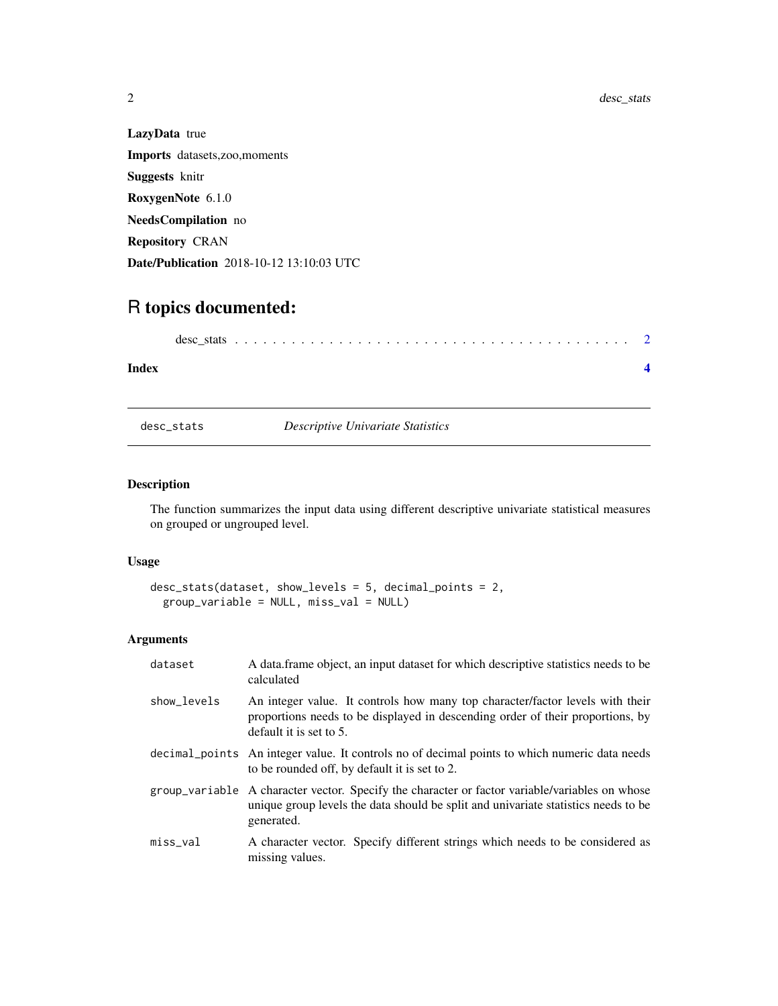| <b>LazyData</b> true                        |
|---------------------------------------------|
| <b>Imports</b> datasets, zoo, moments       |
| <b>Suggests</b> knitr                       |
| RoxygenNote 6.1.0                           |
| <b>NeedsCompilation</b> no                  |
| <b>Repository CRAN</b>                      |
| <b>Date/Publication</b> 2018-10-12 13:10:03 |

### R topics documented:

#### **Index** [4](#page-3-0)

desc\_stats *Descriptive Univariate Statistics*

 $\ensuremath{\text{UTC}}$ 

#### Description

The function summarizes the input data using different descriptive univariate statistical measures on grouped or ungrouped level.

#### Usage

```
desc_stats(dataset, show_levels = 5, decimal_points = 2,
 group_variable = NULL, miss_val = NULL)
```
#### Arguments

| dataset     | A data frame object, an input dataset for which descriptive statistics needs to be<br>calculated                                                                                                   |
|-------------|----------------------------------------------------------------------------------------------------------------------------------------------------------------------------------------------------|
| show levels | An integer value. It controls how many top character/factor levels with their<br>proportions needs to be displayed in descending order of their proportions, by<br>default it is set to $5$ .      |
|             | decimal points An integer value. It controls no of decimal points to which numeric data needs<br>to be rounded off, by default it is set to 2.                                                     |
|             | group_variable A character vector. Specify the character or factor variable/variables on whose<br>unique group levels the data should be split and univariate statistics needs to be<br>generated. |
| $miss_val$  | A character vector. Specify different strings which needs to be considered as<br>missing values.                                                                                                   |

<span id="page-1-0"></span>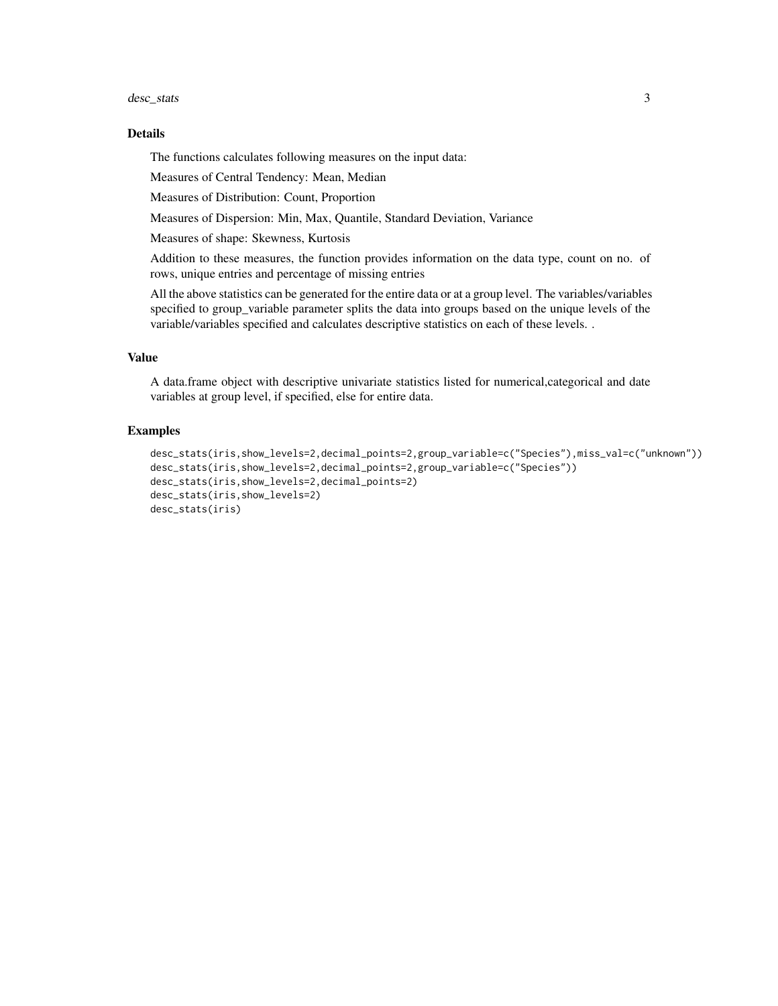#### desc\_stats 3

#### Details

The functions calculates following measures on the input data:

Measures of Central Tendency: Mean, Median

Measures of Distribution: Count, Proportion

Measures of Dispersion: Min, Max, Quantile, Standard Deviation, Variance

Measures of shape: Skewness, Kurtosis

Addition to these measures, the function provides information on the data type, count on no. of rows, unique entries and percentage of missing entries

All the above statistics can be generated for the entire data or at a group level. The variables/variables specified to group\_variable parameter splits the data into groups based on the unique levels of the variable/variables specified and calculates descriptive statistics on each of these levels. .

#### Value

A data.frame object with descriptive univariate statistics listed for numerical,categorical and date variables at group level, if specified, else for entire data.

#### Examples

```
desc_stats(iris,show_levels=2,decimal_points=2,group_variable=c("Species"),miss_val=c("unknown"))
desc_stats(iris,show_levels=2,decimal_points=2,group_variable=c("Species"))
desc_stats(iris,show_levels=2,decimal_points=2)
desc_stats(iris,show_levels=2)
desc_stats(iris)
```